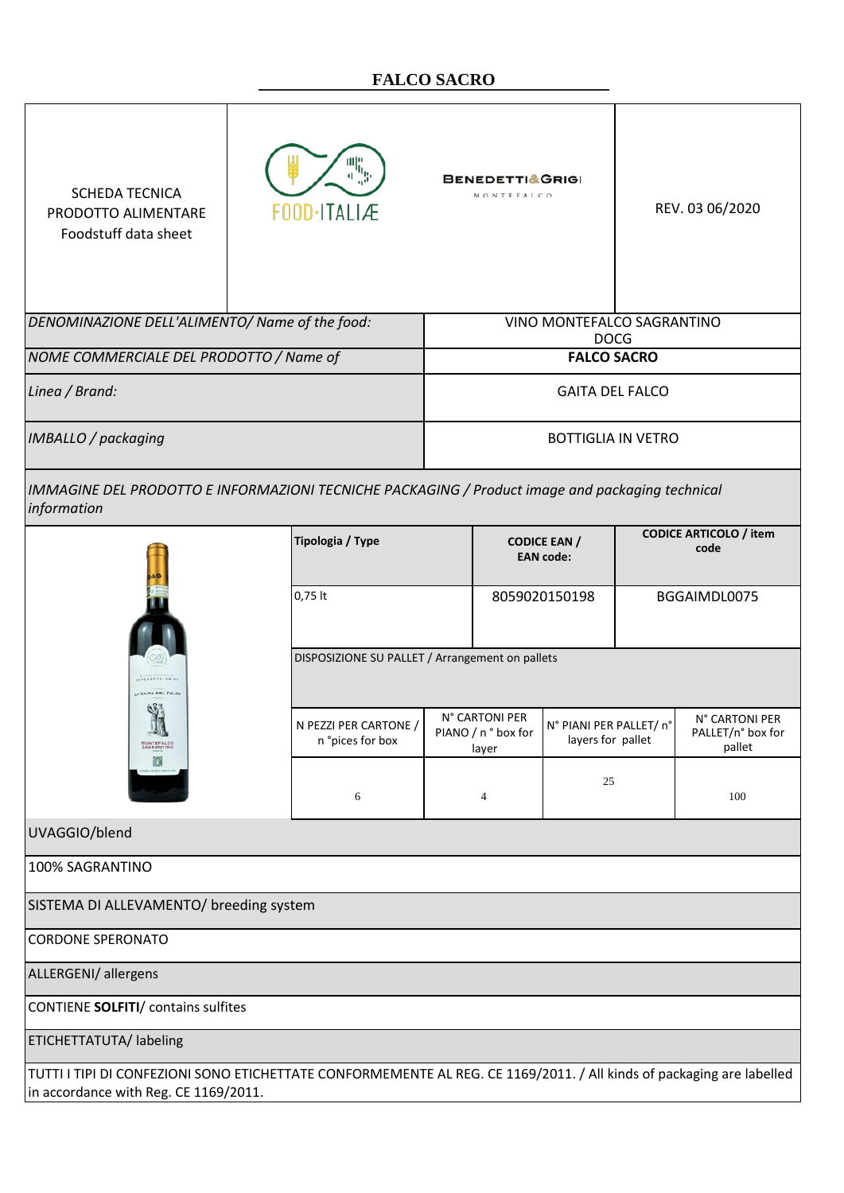## **FALCO SACRO**

| <b>SCHEDA TECNICA</b><br>PRODOTTO ALIMENTARE<br>Foodstuff data sheet                                                                                           | 塩<br>FOOD-ITALIÆ                                                                             |                                         | <b>BENEDETTI&amp;GRIGI</b><br>MONTEFALCO                                                       |                                       |                                               | REV. 03 06/2020 |  |
|----------------------------------------------------------------------------------------------------------------------------------------------------------------|----------------------------------------------------------------------------------------------|-----------------------------------------|------------------------------------------------------------------------------------------------|---------------------------------------|-----------------------------------------------|-----------------|--|
| DENOMINAZIONE DELL'ALIMENTO/ Name of the food:                                                                                                                 |                                                                                              |                                         | VINO MONTEFALCO SAGRANTINO<br><b>DOCG</b>                                                      |                                       |                                               |                 |  |
| NOME COMMERCIALE DEL PRODOTTO / Name of                                                                                                                        |                                                                                              |                                         | <b>FALCO SACRO</b>                                                                             |                                       |                                               |                 |  |
| Linea / Brand:                                                                                                                                                 |                                                                                              |                                         | <b>GAITA DEL FALCO</b>                                                                         |                                       |                                               |                 |  |
| IMBALLO / packaging                                                                                                                                            |                                                                                              |                                         | <b>BOTTIGLIA IN VETRO</b>                                                                      |                                       |                                               |                 |  |
| IMMAGINE DEL PRODOTTO E INFORMAZIONI TECNICHE PACKAGING / Product image and packaging technical<br>information                                                 |                                                                                              |                                         |                                                                                                |                                       |                                               |                 |  |
|                                                                                                                                                                | Tipologia / Type                                                                             | <b>CODICE EAN /</b><br><b>EAN</b> code: |                                                                                                | <b>CODICE ARTICOLO / item</b><br>code |                                               |                 |  |
|                                                                                                                                                                | $0,75$ lt                                                                                    | 8059020150198                           |                                                                                                | BGGAIMDL0075                          |                                               |                 |  |
| <b>SEXEDETTE-GRIG</b><br>A GAITA DEL FALCO<br>n 7<br>MONTEFALCO                                                                                                | DISPOSIZIONE SU PALLET / Arrangement on pallets<br>N PEZZI PER CARTONE /<br>n °pices for box |                                         | N° CARTONI PER<br>N° PIANI PER PALLET/ n°<br>PIANO / n ° box for<br>layers for pallet<br>layer |                                       | N° CARTONI PER<br>PALLET/n° box for<br>pallet |                 |  |
| 顣                                                                                                                                                              | 6                                                                                            |                                         | 4                                                                                              | 25                                    |                                               | 100             |  |
| UVAGGIO/blend                                                                                                                                                  |                                                                                              |                                         |                                                                                                |                                       |                                               |                 |  |
| 100% SAGRANTINO                                                                                                                                                |                                                                                              |                                         |                                                                                                |                                       |                                               |                 |  |
| SISTEMA DI ALLEVAMENTO/ breeding system                                                                                                                        |                                                                                              |                                         |                                                                                                |                                       |                                               |                 |  |
| <b>CORDONE SPERONATO</b>                                                                                                                                       |                                                                                              |                                         |                                                                                                |                                       |                                               |                 |  |
| ALLERGENI/ allergens                                                                                                                                           |                                                                                              |                                         |                                                                                                |                                       |                                               |                 |  |
| CONTIENE SOLFITI/ contains sulfites                                                                                                                            |                                                                                              |                                         |                                                                                                |                                       |                                               |                 |  |
| ETICHETTATUTA/ labeling                                                                                                                                        |                                                                                              |                                         |                                                                                                |                                       |                                               |                 |  |
| TUTTI I TIPI DI CONFEZIONI SONO ETICHETTATE CONFORMEMENTE AL REG. CE 1169/2011. / All kinds of packaging are labelled<br>in accordance with Reg. CE 1169/2011. |                                                                                              |                                         |                                                                                                |                                       |                                               |                 |  |